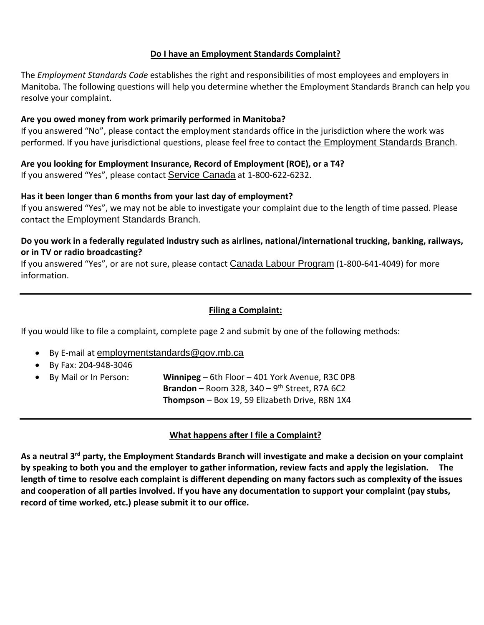## **Do I have an Employment Standards Complaint?**

The *Employment Standards Code* establishes the right and responsibilities of most employees and employers in Manitoba. The following questions will help you determine whether the Employment Standards Branch can help you resolve your complaint.

## **Are you owed money from work primarily performed in Manitoba?**

If you answered "No", please contact the employment standards office in the jurisdiction where the work was performed. If you have jurisdictional questions, please feel free to contact the Employment Standards Branch.

**Are you looking for Employment Insurance, Record of Employment (ROE), or a T4?**  If you answered "Yes", please contact Service Canada at 1-800-622-6232.

#### **Has it been longer than 6 months from your last day of employment?**

If you answered "Yes", we may not be able to investigate your complaint due to the length of time passed. Please contact the Employment Standards Branch.

# **Do you work in a federally regulated industry such as airlines, national/international trucking, banking, railways, or in TV or radio broadcasting?**

If you answered "Yes", or are not sure, please contact Canada Labour Program (1-800-641-4049) for more information.

### **Filing a Complaint:**

If you would like to file a complaint, complete page 2 and submit by one of the following methods:

- By E-mail at employmentstandards@gov.mb.ca
- By Fax: 204‐948‐3046
- By Mail or In Person: **Winnipeg** 6th Floor 401 York Avenue, R3C 0P8 **Brandon** – Room 328, 340 – 9<sup>th</sup> Street, R7A 6C2 **Thompson** – Box 19, 59 Elizabeth Drive, R8N 1X4

# **What happens after I file a Complaint?**

As a neutral 3<sup>rd</sup> party, the Employment Standards Branch will investigate and make a decision on your complaint by speaking to both you and the employer to gather information, review facts and apply the legislation. The length of time to resolve each complaint is different depending on many factors such as complexity of the issues and cooperation of all parties involved. If you have any documentation to support your complaint (pay stubs, **record of time worked, etc.) please submit it to our office.**